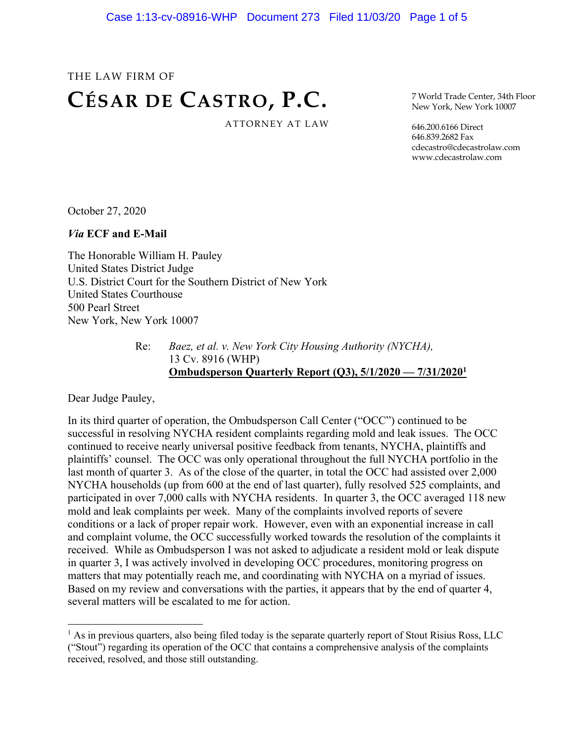# THE LAW FIRM OF **CÉSAR DE CASTRO, P.C.** ATTORNEY AT LAW

7 World Trade Center, 34th Floor New York, New York 10007

646.200.6166 Direct 646.839.2682 Fax cdecastro@cdecastrolaw.com www.cdecastrolaw.com

October 27, 2020

*Via* **ECF and E-Mail**

The Honorable William H. Pauley United States District Judge U.S. District Court for the Southern District of New York United States Courthouse 500 Pearl Street New York, New York 10007

> Re: *Baez, et al. v. New York City Housing Authority (NYCHA),* 13 Cv. 8916 (WHP) **Ombudsperson Quarterly Report (Q3), 5/1/2020 — 7/31/20201**

Dear Judge Pauley,

In its third quarter of operation, the Ombudsperson Call Center ("OCC") continued to be successful in resolving NYCHA resident complaints regarding mold and leak issues. The OCC continued to receive nearly universal positive feedback from tenants, NYCHA, plaintiffs and plaintiffs' counsel. The OCC was only operational throughout the full NYCHA portfolio in the last month of quarter 3. As of the close of the quarter, in total the OCC had assisted over 2,000 NYCHA households (up from 600 at the end of last quarter), fully resolved 525 complaints, and participated in over 7,000 calls with NYCHA residents. In quarter 3, the OCC averaged 118 new mold and leak complaints per week. Many of the complaints involved reports of severe conditions or a lack of proper repair work. However, even with an exponential increase in call and complaint volume, the OCC successfully worked towards the resolution of the complaints it received. While as Ombudsperson I was not asked to adjudicate a resident mold or leak dispute in quarter 3, I was actively involved in developing OCC procedures, monitoring progress on matters that may potentially reach me, and coordinating with NYCHA on a myriad of issues. Based on my review and conversations with the parties, it appears that by the end of quarter 4, several matters will be escalated to me for action.

 $<sup>1</sup>$  As in previous quarters, also being filed today is the separate quarterly report of Stout Risius Ross, LLC</sup> ("Stout") regarding its operation of the OCC that contains a comprehensive analysis of the complaints received, resolved, and those still outstanding.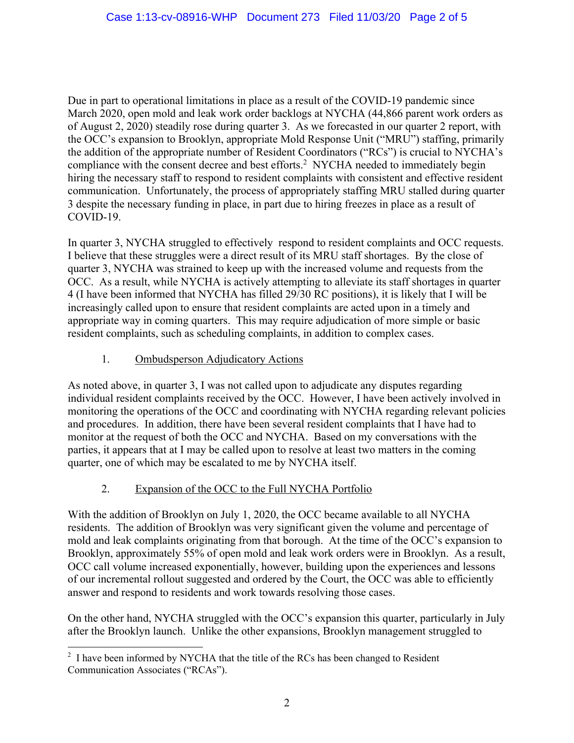Due in part to operational limitations in place as a result of the COVID-19 pandemic since March 2020, open mold and leak work order backlogs at NYCHA (44,866 parent work orders as of August 2, 2020) steadily rose during quarter 3. As we forecasted in our quarter 2 report, with the OCC's expansion to Brooklyn, appropriate Mold Response Unit ("MRU") staffing, primarily the addition of the appropriate number of Resident Coordinators ("RCs") is crucial to NYCHA's compliance with the consent decree and best efforts.<sup>2</sup> NYCHA needed to immediately begin hiring the necessary staff to respond to resident complaints with consistent and effective resident communication. Unfortunately, the process of appropriately staffing MRU stalled during quarter 3 despite the necessary funding in place, in part due to hiring freezes in place as a result of COVID-19.

In quarter 3, NYCHA struggled to effectively respond to resident complaints and OCC requests. I believe that these struggles were a direct result of its MRU staff shortages. By the close of quarter 3, NYCHA was strained to keep up with the increased volume and requests from the OCC. As a result, while NYCHA is actively attempting to alleviate its staff shortages in quarter 4 (I have been informed that NYCHA has filled 29/30 RC positions), it is likely that I will be increasingly called upon to ensure that resident complaints are acted upon in a timely and appropriate way in coming quarters. This may require adjudication of more simple or basic resident complaints, such as scheduling complaints, in addition to complex cases.

### 1. Ombudsperson Adjudicatory Actions

As noted above, in quarter 3, I was not called upon to adjudicate any disputes regarding individual resident complaints received by the OCC. However, I have been actively involved in monitoring the operations of the OCC and coordinating with NYCHA regarding relevant policies and procedures. In addition, there have been several resident complaints that I have had to monitor at the request of both the OCC and NYCHA. Based on my conversations with the parties, it appears that at I may be called upon to resolve at least two matters in the coming quarter, one of which may be escalated to me by NYCHA itself.

## 2. Expansion of the OCC to the Full NYCHA Portfolio

With the addition of Brooklyn on July 1, 2020, the OCC became available to all NYCHA residents. The addition of Brooklyn was very significant given the volume and percentage of mold and leak complaints originating from that borough. At the time of the OCC's expansion to Brooklyn, approximately 55% of open mold and leak work orders were in Brooklyn. As a result, OCC call volume increased exponentially, however, building upon the experiences and lessons of our incremental rollout suggested and ordered by the Court, the OCC was able to efficiently answer and respond to residents and work towards resolving those cases.

On the other hand, NYCHA struggled with the OCC's expansion this quarter, particularly in July after the Brooklyn launch. Unlike the other expansions, Brooklyn management struggled to

 $2$  I have been informed by NYCHA that the title of the RCs has been changed to Resident Communication Associates ("RCAs").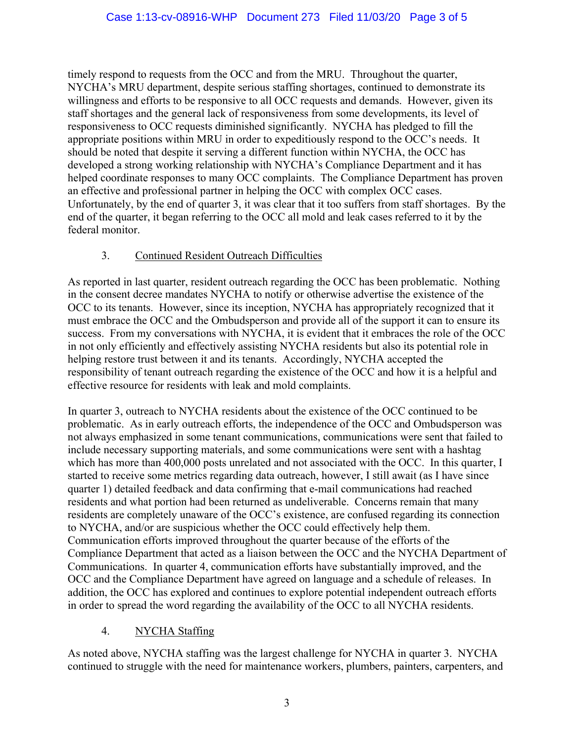timely respond to requests from the OCC and from the MRU. Throughout the quarter, NYCHA's MRU department, despite serious staffing shortages, continued to demonstrate its willingness and efforts to be responsive to all OCC requests and demands. However, given its staff shortages and the general lack of responsiveness from some developments, its level of responsiveness to OCC requests diminished significantly. NYCHA has pledged to fill the appropriate positions within MRU in order to expeditiously respond to the OCC's needs. It should be noted that despite it serving a different function within NYCHA, the OCC has developed a strong working relationship with NYCHA's Compliance Department and it has helped coordinate responses to many OCC complaints. The Compliance Department has proven an effective and professional partner in helping the OCC with complex OCC cases. Unfortunately, by the end of quarter 3, it was clear that it too suffers from staff shortages. By the end of the quarter, it began referring to the OCC all mold and leak cases referred to it by the federal monitor.

#### 3. Continued Resident Outreach Difficulties

As reported in last quarter, resident outreach regarding the OCC has been problematic. Nothing in the consent decree mandates NYCHA to notify or otherwise advertise the existence of the OCC to its tenants. However, since its inception, NYCHA has appropriately recognized that it must embrace the OCC and the Ombudsperson and provide all of the support it can to ensure its success. From my conversations with NYCHA, it is evident that it embraces the role of the OCC in not only efficiently and effectively assisting NYCHA residents but also its potential role in helping restore trust between it and its tenants. Accordingly, NYCHA accepted the responsibility of tenant outreach regarding the existence of the OCC and how it is a helpful and effective resource for residents with leak and mold complaints.

In quarter 3, outreach to NYCHA residents about the existence of the OCC continued to be problematic. As in early outreach efforts, the independence of the OCC and Ombudsperson was not always emphasized in some tenant communications, communications were sent that failed to include necessary supporting materials, and some communications were sent with a hashtag which has more than 400,000 posts unrelated and not associated with the OCC. In this quarter, I started to receive some metrics regarding data outreach, however, I still await (as I have since quarter 1) detailed feedback and data confirming that e-mail communications had reached residents and what portion had been returned as undeliverable. Concerns remain that many residents are completely unaware of the OCC's existence, are confused regarding its connection to NYCHA, and/or are suspicious whether the OCC could effectively help them. Communication efforts improved throughout the quarter because of the efforts of the Compliance Department that acted as a liaison between the OCC and the NYCHA Department of Communications. In quarter 4, communication efforts have substantially improved, and the OCC and the Compliance Department have agreed on language and a schedule of releases. In addition, the OCC has explored and continues to explore potential independent outreach efforts in order to spread the word regarding the availability of the OCC to all NYCHA residents.

#### 4. NYCHA Staffing

As noted above, NYCHA staffing was the largest challenge for NYCHA in quarter 3. NYCHA continued to struggle with the need for maintenance workers, plumbers, painters, carpenters, and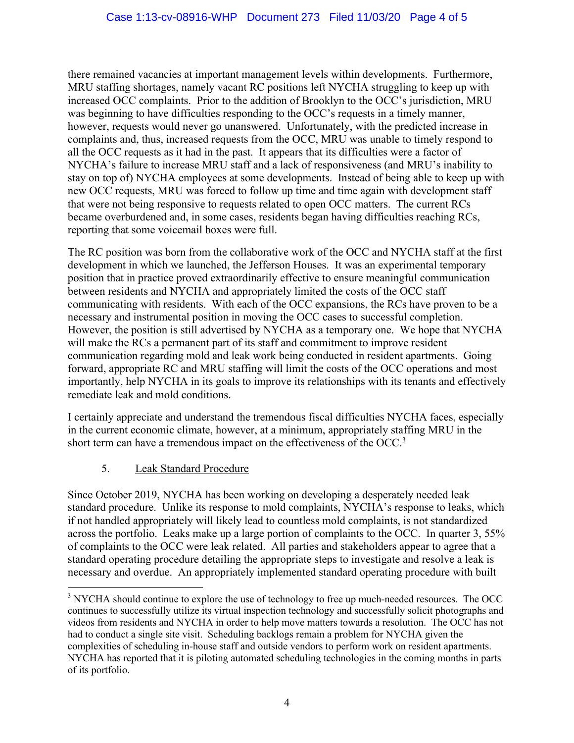there remained vacancies at important management levels within developments. Furthermore, MRU staffing shortages, namely vacant RC positions left NYCHA struggling to keep up with increased OCC complaints. Prior to the addition of Brooklyn to the OCC's jurisdiction, MRU was beginning to have difficulties responding to the OCC's requests in a timely manner, however, requests would never go unanswered. Unfortunately, with the predicted increase in complaints and, thus, increased requests from the OCC, MRU was unable to timely respond to all the OCC requests as it had in the past. It appears that its difficulties were a factor of NYCHA's failure to increase MRU staff and a lack of responsiveness (and MRU's inability to stay on top of) NYCHA employees at some developments. Instead of being able to keep up with new OCC requests, MRU was forced to follow up time and time again with development staff that were not being responsive to requests related to open OCC matters. The current RCs became overburdened and, in some cases, residents began having difficulties reaching RCs, reporting that some voicemail boxes were full.

The RC position was born from the collaborative work of the OCC and NYCHA staff at the first development in which we launched, the Jefferson Houses. It was an experimental temporary position that in practice proved extraordinarily effective to ensure meaningful communication between residents and NYCHA and appropriately limited the costs of the OCC staff communicating with residents. With each of the OCC expansions, the RCs have proven to be a necessary and instrumental position in moving the OCC cases to successful completion. However, the position is still advertised by NYCHA as a temporary one. We hope that NYCHA will make the RCs a permanent part of its staff and commitment to improve resident communication regarding mold and leak work being conducted in resident apartments. Going forward, appropriate RC and MRU staffing will limit the costs of the OCC operations and most importantly, help NYCHA in its goals to improve its relationships with its tenants and effectively remediate leak and mold conditions.

I certainly appreciate and understand the tremendous fiscal difficulties NYCHA faces, especially in the current economic climate, however, at a minimum, appropriately staffing MRU in the short term can have a tremendous impact on the effectiveness of the OCC.<sup>3</sup>

#### 5. Leak Standard Procedure

Since October 2019, NYCHA has been working on developing a desperately needed leak standard procedure. Unlike its response to mold complaints, NYCHA's response to leaks, which if not handled appropriately will likely lead to countless mold complaints, is not standardized across the portfolio. Leaks make up a large portion of complaints to the OCC. In quarter 3, 55% of complaints to the OCC were leak related. All parties and stakeholders appear to agree that a standard operating procedure detailing the appropriate steps to investigate and resolve a leak is necessary and overdue. An appropriately implemented standard operating procedure with built

<sup>&</sup>lt;sup>3</sup> NYCHA should continue to explore the use of technology to free up much-needed resources. The OCC continues to successfully utilize its virtual inspection technology and successfully solicit photographs and videos from residents and NYCHA in order to help move matters towards a resolution. The OCC has not had to conduct a single site visit. Scheduling backlogs remain a problem for NYCHA given the complexities of scheduling in-house staff and outside vendors to perform work on resident apartments. NYCHA has reported that it is piloting automated scheduling technologies in the coming months in parts of its portfolio.